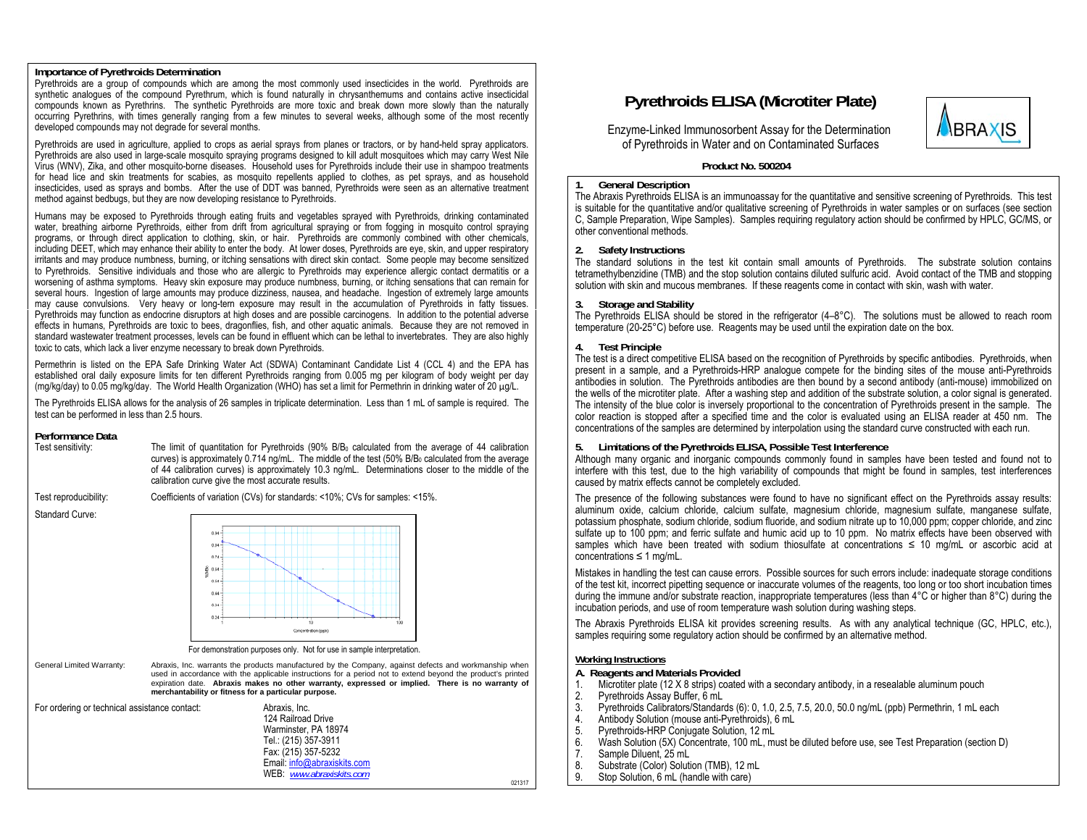### **Importance of Pyrethroids Determination**

Pyrethroids are a group of compounds which are among the most commonly used insecticides in the world. Pyrethroids are synthetic analogues of the compound Pyrethrum, which is found naturally in chrysanthemums and contains active insecticidal compounds known as Pyrethrins. The synthetic Pyrethroids are more toxic and break down more slowly than the naturally occurring Pyrethrins, with times generally ranging from a few minutes to several weeks, although some of the most recently developed compounds may not degrade for several months.

Pyrethroids are used in agriculture, applied to crops as aerial sprays from planes or tractors, or by hand-held spray applicators. Pyrethroids are also used in large-scale mosquito spraying programs designed to kill adult mosquitoes which may carry West Nile Virus (WNV), Zika, and other mosquito-borne diseases. Household uses for Pyrethroids include their use in shampoo treatments for head lice and skin treatments for scabies, as mosquito repellents applied to clothes, as pet sprays, and as household insecticides, used as sprays and bombs. After the use of DDT was banned, Pyrethroids were seen as an alternative treatment method against bedbugs, but they are now developing resistance to Pyrethroids.

Humans may be exposed to Pyrethroids through eating fruits and vegetables sprayed with Pyrethroids, drinking contaminated water, breathing airborne Pyrethroids, either from drift from agricultural spraying or from fogging in mosquito control spraying programs, or through direct application to clothing, skin, or hair. Pyrethroids are commonly combined with other chemicals, including DEET, which may enhance their ability to enter the body. At lower doses, Pyrethroids are eye, skin, and upper respiratory irritants and may produce numbness, burning, or itching sensations with direct skin contact. Some people may become sensitized to Pyrethroids. Sensitive individuals and those who are allergic to Pyrethroids may experience allergic contact dermatitis or a worsening of asthma symptoms. Heavy skin exposure may produce numbness, burning, or itching sensations that can remain for several hours. Ingestion of large amounts may produce dizziness, nausea, and headache. Ingestion of extremely large amounts may cause convulsions. Very heavy or long-tern exposure may result in the accumulation of Pyrethroids in fatty tissues. Pyrethroids may function as endocrine disruptors at high doses and are possible carcinogens. In addition to the potential adverse effects in humans, Pyrethroids are toxic to bees, dragonflies, fish, and other aquatic animals. Because they are not removed in standard wastewater treatment processes, levels can be found in effluent which can be lethal to invertebrates. They are also highly toxic to cats, which lack a liver enzyme necessary to break down Pyrethroids.

Permethrin is listed on the EPA Safe Drinking Water Act (SDWA) Contaminant Candidate List 4 (CCL 4) and the EPA has established oral daily exposure limits for ten different Pyrethroids ranging from 0.005 mg per kilogram of body weight per day (mg/kg/day) to 0.05 mg/kg/day. The World Health Organization (WHO) has set a limit for Permethrin in drinking water of 20 µg/L.

The Pyrethroids ELISA allows for the analysis of 26 samples in triplicate determination. Less than 1 mL of sample is required. The test can be performed in less than 2.5 hours.

# **Performance Data**

Test sensitivity: The limit of quantitation for Pyrethroids (90% B/B<sub>0</sub> calculated from the average of 44 calibration curves) is approximately  $0.714$  ng/mL. The middle of the test (50% B/B<sub>0</sub> calculated from the average of 44 calibration curves) is approximately 10.3 ng/mL. Determinations closer to the middle of the calibration curve give the most accurate results.

Test reproducibility: Coefficients of variation (CVs) for standards: <10%; CVs for samples: <15%.

Standard Curve:





For demonstration purposes only. Not for use in sample interpretation.

General Limited Warranty: Abraxis, Inc. warrants the products manufactured by the Company, against defects and workmanship when used in accordance with the applicable instructions for a period not to extend beyond the product's printed expiration date. **Abraxis makes no other warranty, expressed or implied. There is no warranty of merchantability or fitness for a particular purpose.**

| For ordering or technical assistance contact: | Abraxis, Inc.               |        |
|-----------------------------------------------|-----------------------------|--------|
|                                               | 124 Railroad Drive          |        |
|                                               | Warminster, PA 18974        |        |
|                                               | Tel.: (215) 357-3911        |        |
|                                               | Fax: (215) 357-5232         |        |
|                                               | Email: info@abraxiskits.com |        |
|                                               | WEB: www.abraxiskits.com    |        |
|                                               |                             | 021317 |

# **Pyrethroids ELISA (Microtiter Plate)**

 Enzyme-Linked Immunosorbent Assay for the Determination of Pyrethroids in Water and on Contaminated Surfaces



**Product No. 500204** 

#### **1.General Description**

The Abraxis Pyrethroids ELISA is an immunoassay for the quantitative and sensitive screening of Pyrethroids. This test is suitable for the quantitative and/or qualitative screening of Pyrethroids in water samples or on surfaces (see section C, Sample Preparation, Wipe Samples). Samples requiring regulatory action should be confirmed by HPLC, GC/MS, or other conventional methods.

# **2. Safety Instructions**

The standard solutions in the test kit contain small amounts of Pyrethroids. The substrate solution contains tetramethylbenzidine (TMB) and the stop solution contains diluted sulfuric acid. Avoid contact of the TMB and stopping solution with skin and mucous membranes. If these reagents come in contact with skin, wash with water.

#### **3.Storage and Stability**

The Pyrethroids ELISA should be stored in the refrigerator (4–8°C). The solutions must be allowed to reach room temperature (20-25°C) before use. Reagents may be used until the expiration date on the box.

# **4. Test Principle**

The test is a direct competitive ELISA based on the recognition of Pyrethroids by specific antibodies. Pyrethroids, when present in a sample, and a Pyrethroids-HRP analogue compete for the binding sites of the mouse anti-Pyrethroids antibodies in solution. The Pyrethroids antibodies are then bound by a second antibody (anti-mouse) immobilized on the wells of the microtiter plate. After a washing step and addition of the substrate solution, a color signal is generated. The intensity of the blue color is inversely proportional to the concentration of Pyrethroids present in the sample. The color reaction is stopped after a specified time and the color is evaluated using an ELISA reader at 450 nm. The concentrations of the samples are determined by interpolation using the standard curve constructed with each run.

# **5. Limitations of the Pyrethroids ELISA, Possible Test Interference**

Although many organic and inorganic compounds commonly found in samples have been tested and found not to interfere with this test, due to the high variability of compounds that might be found in samples, test interferences caused by matrix effects cannot be completely excluded.

The presence of the following substances were found to have no significant effect on the Pyrethroids assay results: aluminum oxide, calcium chloride, calcium sulfate, magnesium chloride, magnesium sulfate, manganese sulfate, potassium phosphate, sodium chloride, sodium fluoride, and sodium nitrate up to 10,000 ppm; copper chloride, and zinc sulfate up to 100 ppm; and ferric sulfate and humic acid up to 10 ppm. No matrix effects have been observed with samples which have been treated with sodium thiosulfate at concentrations ≤ 10 mg/mL or ascorbic acid at concentrations ≤ 1 mg/mL.

Mistakes in handling the test can cause errors. Possible sources for such errors include: inadequate storage conditions of the test kit, incorrect pipetting sequence or inaccurate volumes of the reagents, too long or too short incubation times during the immune and/or substrate reaction, inappropriate temperatures (less than 4°C or higher than 8°C) during the incubation periods, and use of room temperature wash solution during washing steps.

The Abraxis Pyrethroids ELISA kit provides screening results. As with any analytical technique (GC, HPLC, etc.), samples requiring some regulatory action should be confirmed by an alternative method.

# **Working Instructions**

**A. Reagents and Materials Provided** 

- 1. Microtiter plate (12 X 8 strips) coated with a secondary antibody, in a resealable aluminum pouch 2. Pyrethroids Assay Buffer. 6 mL
- 2. Pyrethroids Assay Buffer, 6 mL<br>3. Pyrethroids Calibrators/Standar
- 3. Pyrethroids Calibrators/Standards (6): 0, 1.0, 2.5, 7.5, 20.0, 50.0 ng/mL (ppb) Permethrin, 1 mL each
- 4. Antibody Solution (mouse anti-Pyrethroids), 6 mL
- 5. Pyrethroids-HRP Conjugate Solution, 12 mL<br>6. Wash Solution (5X) Concentrate, 100 mL, mu
- 6. Wash Solution (5X) Concentrate, 100 mL, must be diluted before use, see Test Preparation (section D)
- 7. Sample Diluent, 25 mL<br>8. Substrate (Color) Soluti
- 8. Substrate (Color) Solution (TMB), 12 mL<br>9. Stop Solution, 6 mL (handle with care)
- Stop Solution, 6 mL (handle with care)